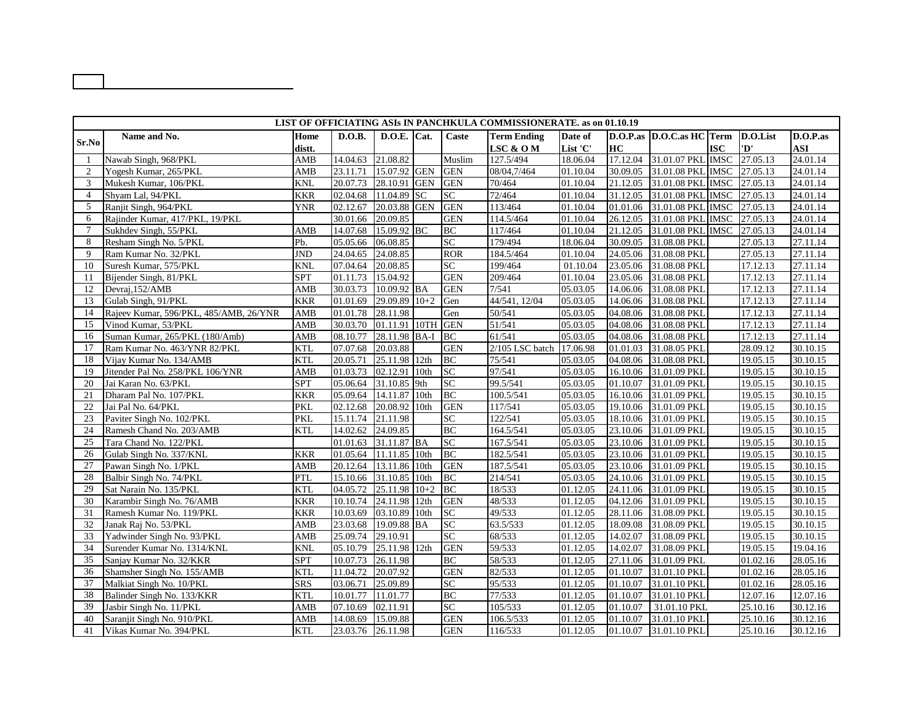| LIST OF OFFICIATING ASIs IN PANCHKULA COMMISSIONERATE. as on 01.10.19 |                                        |                |                   |                   |                  |            |                    |          |          |                           |             |                   |             |
|-----------------------------------------------------------------------|----------------------------------------|----------------|-------------------|-------------------|------------------|------------|--------------------|----------|----------|---------------------------|-------------|-------------------|-------------|
|                                                                       | Name and No.                           | Home           | D.O.B.            | D.O.E. Cat.       |                  | Caste      | <b>Term Ending</b> | Date of  |          | D.O.P.as D.O.C.as HC Term |             | D.O.List          | $D.O.P.$ as |
| Sr.No                                                                 |                                        | distt.         |                   |                   |                  |            | LSC & O M          | List 'C' | HC       |                           | <b>ISC</b>  | 'D'               | <b>ASI</b>  |
|                                                                       | Nawab Singh, 968/PKL                   | AMB            | 14.04.63          | 21.08.82          |                  | Muslim     | 127.5/494          | 18.06.04 | 17.12.04 | 31.01.07 PKL              | <b>IMSC</b> | 27.05.13          | 24.01.14    |
| $\overline{2}$                                                        | Yogesh Kumar, 265/PKL                  | AMB            | 23.11.71          | 15.07.92 GEN      |                  | <b>GEN</b> | 08/04,7/464        | 01.10.04 | 30.09.05 | 31.01.08 PKL IMSC         |             | 27.05.13          | 24.01.14    |
| 3                                                                     | Mukesh Kumar, 106/PKL                  | <b>KNL</b>     | 20.07.73          | 28.10.91          | <b>GEN</b>       | <b>GEN</b> | 70/464             | 01.10.04 | 21.12.05 | 31.01.08 PKL IMSC         |             | 27.05.13          | 24.01.14    |
| $\overline{4}$                                                        | Shyam Lal, 94/PKL                      | <b>KKR</b>     | 02.04.68          | 11.04.89          | <b>SC</b>        | <b>SC</b>  | 72/464             | 01.10.04 | 31.12.05 | 31.01.08 PKL              | <b>IMSC</b> | 27.05.13          | 24.01.14    |
| $\overline{5}$                                                        | Ranjit Singh, 964/PKL                  | <b>YNR</b>     | 02.12.67          | 20.03.88 GEN      |                  | <b>GEN</b> | 113/464            | 01.10.04 | 01.01.06 | 31.01.08 PKL IMSC         |             | 27.05.13          | 24.01.14    |
| 6                                                                     | Rajinder Kumar, 417/PKL, 19/PKL        |                | 30.01.66          | 20.09.85          |                  | <b>GEN</b> | 114.5/464          | 01.10.04 | 26.12.05 | 31.01.08 PKL              | <b>IMSC</b> | 27.05.13          | 24.01.14    |
| $7\phantom{.0}$                                                       | Sukhdev Singh, 55/PKL                  | AMB            | 14.07.68          | 15.09.92 BC       |                  | <b>BC</b>  | 117/464            | 01.10.04 | 21.12.05 | 31.01.08 PKL IMSC         |             | $\sqrt{27.05.13}$ | 24.01.14    |
| 8                                                                     | Resham Singh No. 5/PKL                 | Pb.            | 05.05.66          | 06.08.85          |                  | <b>SC</b>  | 179/494            | 18.06.04 | 30.09.05 | 31.08.08 PKL              |             | 27.05.13          | 27.11.14    |
| 9                                                                     | Ram Kumar No. 32/PKL                   | <b>JND</b>     | 24.04.65          | 24.08.85          |                  | <b>ROR</b> | 184.5/464          | 01.10.04 | 24.05.06 | 31.08.08 PKL              |             | 27.05.13          | 27.11.14    |
| 10                                                                    | Suresh Kumar, 575/PKL                  | <b>KNL</b>     | 07.04.64          | 20.08.85          |                  | SC         | 199/464            | 01.10.04 | 23.05.06 | 31.08.08 PKL              |             | 17.12.13          | 27.11.14    |
| <sup>11</sup>                                                         | Bijender Singh, 81/PKL                 | <b>SPT</b>     | 01.11.73          | 15.04.92          |                  | <b>GEN</b> | 209/464            | 01.10.04 | 23.05.06 | 31.08.08 PKL              |             | 17.12.13          | 27.11.14    |
| 12                                                                    | Devraj, 152/AMB                        | AMB            | 30.03.73          | 10.09.92 BA       |                  | <b>GEN</b> | 7/541              | 05.03.05 | 14.06.06 | 31.08.08 PKL              |             | 17.12.13          | 27.11.14    |
| 13                                                                    | Gulab Singh, 91/PKL                    | <b>KKR</b>     | 01.01.69          | 29.09.89          | $10+2$           | Gen        | 44/541, 12/04      | 05.03.05 | 14.06.06 | 31.08.08 PKL              |             | 17.12.13          | 27.11.14    |
| 14                                                                    | Rajeev Kumar, 596/PKL, 485/AMB, 26/YNR | AMB            | 01.01.78          | 28.11.98          |                  | Gen        | $\frac{1}{50/541}$ | 05.03.05 | 04.08.06 | 31.08.08 PKL              |             | 17.12.13          | 27.11.14    |
| 15                                                                    | Vinod Kumar, 53/PKL                    | $\mathbf{AMB}$ | 30.03.70          | 01.11.91 10TH GEN |                  |            | 51/541             | 05.03.05 | 04.08.06 | 31.08.08 PKL              |             | 17.12.13          | 27.11.14    |
| 16                                                                    | Suman Kumar, 265/PKL (180/Amb)         | AMB            | 08.10.77          | 28.11.98 BA-I     |                  | <b>BC</b>  | 61/541             | 05.03.05 | 04.08.06 | 31.08.08 PKL              |             | 17.12.13          | 27.11.14    |
| 17                                                                    | Ram Kumar No. 463/YNR 82/PKL           | <b>KTL</b>     | 07.07.68          | 20.03.88          |                  | <b>GEN</b> | 2/105 LSC batch    | 17.06.98 | 01.01.03 | 31.08.05 PKL              |             | 28.09.12          | 30.10.15    |
| 18                                                                    | Vijay Kumar No. 134/AMB                | <b>KTL</b>     | 20.05.71          | 25.11.98 12th     |                  | <b>BC</b>  | 75/541             | 05.03.05 | 04.08.06 | 31.08.08 PKL              |             | 19.05.15          | 30.10.15    |
| 19                                                                    | Jitender Pal No. 258/PKL 106/YNR       | AMB            | 01.03.73          | 02.12.91          | 10 <sub>th</sub> | <b>SC</b>  | 97/541             | 05.03.05 | 16.10.06 | 31.01.09 PKL              |             | 19.05.15          | 30.10.15    |
| 20                                                                    | Jai Karan No. 63/PKL                   | <b>SPT</b>     | 05.06.64          | 31.10.85          | 9th              | SC         | 99.5/541           | 05.03.05 | 01.10.07 | 31.01.09 PKL              |             | 19.05.15          | 30.10.15    |
| 21                                                                    | Dharam Pal No. 107/PKL                 | <b>KKR</b>     | 05.09.64          | 14.11.87          | 10 <sub>th</sub> | <b>BC</b>  | 100.5/541          | 05.03.05 | 16.10.06 | 31.01.09 PKL              |             | 19.05.15          | 30.10.15    |
| 22                                                                    | Jai Pal No. 64/PKL                     | <b>PKL</b>     | 02.12.68          | 20.08.92          | 10 <sub>th</sub> | <b>GEN</b> | 117/541            | 05.03.05 | 19.10.06 | 31.01.09 PKL              |             | 19.05.15          | 30.10.15    |
| 23                                                                    | Paviter Singh No. 102/PKL              | <b>PKL</b>     | 15.11.74          | 21.11.98          |                  | SC         | 122/541            | 05.03.05 | 18.10.06 | 31.01.09 PKL              |             | 19.05.15          | 30.10.15    |
| 24                                                                    | Ramesh Chand No. 203/AMB               | <b>KTL</b>     | 14.02.62          | 24.09.85          |                  | <b>BC</b>  | 164.5/541          | 05.03.05 | 23.10.06 | 31.01.09 PKL              |             | 19.05.15          | 30.10.15    |
| 25                                                                    | Tara Chand No. 122/PKL                 |                | 01.01.63          | 31.11.87 BA       |                  | SC         | 167.5/541          | 05.03.05 | 23.10.06 | 31.01.09 PKL              |             | 19.05.15          | 30.10.15    |
| 26                                                                    | Gulab Singh No. 337/KNL                | <b>KKR</b>     | 01.05.64          | 11.11.85 10th     |                  | <b>BC</b>  | 182.5/541          | 05.03.05 | 23.10.06 | 31.01.09 PKL              |             | 19.05.15          | 30.10.15    |
| 27                                                                    | Pawan Singh No. 1/PKL                  | AMB            | 20.12.64          | 13.11.86          | 10th             | <b>GEN</b> | 187.5/541          | 05.03.05 | 23.10.06 | 31.01.09 PKL              |             | 19.05.15          | 30.10.15    |
| 28                                                                    | Balbir Singh No. 74/PKL                | <b>PTL</b>     | 15.10.66          | 31.10.85          | 10th             | <b>BC</b>  | 214/541            | 05.03.05 | 24.10.06 | 31.01.09 PKL              |             | 19.05.15          | 30.10.15    |
| 29                                                                    | Sat Narain No. 135/PKL                 | <b>KTL</b>     | 04.05.72          | 25.11.98          | $10+2$           | <b>BC</b>  | 18/533             | 01.12.05 | 24.11.06 | 31.01.09 PKL              |             | 19.05.15          | 30.10.15    |
| 30                                                                    | Karambir Singh No. 76/AMB              | <b>KKR</b>     | 10.10.74          | 24.11.98          | 12th             | <b>GEN</b> | 48/533             | 01.12.05 | 04.12.06 | 31.01.09 PKL              |             | 19.05.15          | 30.10.15    |
| 31                                                                    | Ramesh Kumar No. 119/PKL               | <b>KKR</b>     | 10.03.69          | 03.10.89          | 10th             | <b>SC</b>  | 49/533             | 01.12.05 | 28.11.06 | 31.08.09 PKL              |             | 19.05.15          | 30.10.15    |
| 32                                                                    | Janak Raj No. 53/PKL                   | AMB            | 23.03.68          | 19.09.88 BA       |                  | SC         | 63.5/533           | 01.12.05 | 18.09.08 | 31.08.09 PKL              |             | 19.05.15          | 30.10.15    |
| 33                                                                    | Yadwinder Singh No. 93/PKL             | AMB            | 25.09.74          | 29.10.91          |                  | SC         | 68/533             | 01.12.05 | 14.02.07 | 31.08.09 PKL              |             | 19.05.15          | 30.10.15    |
| 34                                                                    | Surender Kumar No. 1314/KNL            | <b>KNL</b>     | 05.10.79          | 25.11.98          | 12th             | <b>GEN</b> | 59/533             | 01.12.05 | 14.02.07 | 31.08.09 PKL              |             | 19.05.15          | 19.04.16    |
| 35                                                                    | Sanjay Kumar No. 32/KKR                | <b>SPT</b>     | 10.07.73          | 26.11.98          |                  | <b>BC</b>  | 58/533             | 01.12.05 | 27.11.06 | 31.01.09 PKL              |             | 01.02.16          | 28.05.16    |
| 36                                                                    | Shamsher Singh No. 155/AMB             | <b>KTL</b>     | 11.04.72          | 20.07.92          |                  | <b>GEN</b> | 82/533             | 01.12.05 | 01.10.07 | 31.01.10 PKL              |             | 01.02.16          | 28.05.16    |
| 37                                                                    | Malkiat Singh No. 10/PKL               | <b>SRS</b>     | 03.06.71          | 25.09.89          |                  | <b>SC</b>  | 95/533             | 01.12.05 | 01.10.07 | 31.01.10 PKL              |             | 01.02.16          | 28.05.16    |
| 38                                                                    | Balinder Singh No. 133/KKR             | <b>KTL</b>     | 10.01.77          | 11.01.77          |                  | <b>BC</b>  | 77/533             | 01.12.05 | 01.10.07 | 31.01.10 PKL              |             | 12.07.16          | 12.07.16    |
| 39                                                                    | Jasbir Singh No. 11/PKL                | AMB            | 07.10.69          | 02.11.91          |                  | <b>SC</b>  | 105/533            | 01.12.05 | 01.10.07 | 31.01.10 PKL              |             | 25.10.16          | 30.12.16    |
| 40                                                                    | Saranjit Singh No. 910/PKL             | AMB            | 14.08.69          | 15.09.88          |                  | <b>GEN</b> | 106.5/533          | 01.12.05 | 01.10.07 | 31.01.10 PKL              |             | 25.10.16          | 30.12.16    |
| 41                                                                    | Vikas Kumar No. 394/PKL                | <b>KTL</b>     | 23.03.76 26.11.98 |                   |                  | <b>GEN</b> | 116/533            | 01.12.05 |          | 01.10.07 31.01.10 PKL     |             | 25.10.16          | 30.12.16    |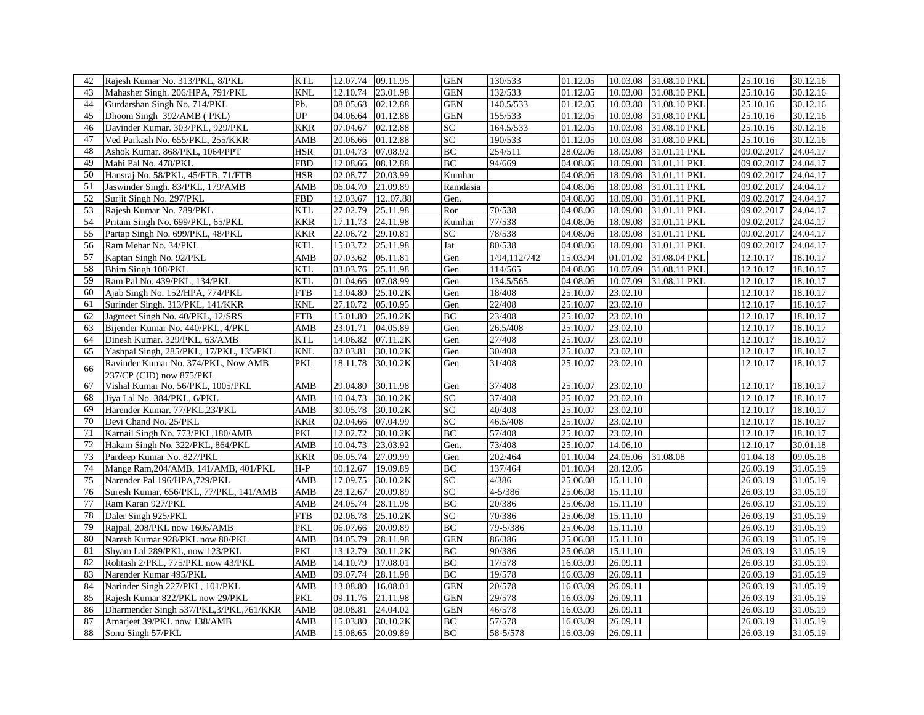| 42 | Rajesh Kumar No. 313/PKL, 8/PKL          | <b>KTL</b> | 12.07.74          | 09.11.95 | <b>GEN</b> | 130/533      | 01.12.05 | 10.03.08 | 31.08.10 PKL | 25.10.16   | 30.12.16 |
|----|------------------------------------------|------------|-------------------|----------|------------|--------------|----------|----------|--------------|------------|----------|
| 43 | Mahasher Singh. 206/HPA, 791/PKL         | <b>KNL</b> | 12.10.74          | 23.01.98 | <b>GEN</b> | 132/533      | 01.12.05 | 10.03.08 | 31.08.10 PKL | 25.10.16   | 30.12.16 |
| 44 | Gurdarshan Singh No. 714/PKL             | Pb.        | 08.05.68          | 02.12.88 | <b>GEN</b> | 140.5/533    | 01.12.05 | 10.03.88 | 31.08.10 PKL | 25.10.16   | 30.12.16 |
| 45 | Dhoom Singh 392/AMB (PKL)                | UP         | 04.06.64          | 01.12.88 | <b>GEN</b> | 155/533      | 01.12.05 | 10.03.08 | 31.08.10 PKL | 25.10.16   | 30.12.16 |
| 46 | Davinder Kumar. 303/PKL, 929/PKL         | <b>KKR</b> | 07.04.67          | 02.12.88 | SC         | 164.5/533    | 01.12.05 | 10.03.08 | 31.08.10 PKL | 25.10.16   | 30.12.16 |
| 47 | Ved Parkash No. 655/PKL, 255/KKR         | AMB        | 20.06.66          | 01.12.88 | SC         | 190/533      | 01.12.05 | 10.03.08 | 31.08.10 PKL | 25.10.16   | 30.12.16 |
| 48 | Ashok Kumar. 868/PKL, 1064/PPT           | <b>HSR</b> | 01.04.73          | 07.08.92 | BC         | 254/511      | 28.02.06 | 18.09.08 | 31.01.11 PKL | 09.02.2017 | 24.04.17 |
| 49 | Mahi Pal No. 478/PKL                     | <b>FBD</b> | 12.08.66          | 08.12.88 | <b>BC</b>  | 94/669       | 04.08.06 | 18.09.08 | 31.01.11 PKL | 09.02.2017 | 24.04.17 |
| 50 | Hansraj No. 58/PKL, 45/FTB, 71/FTB       | <b>HSR</b> | 02.08.77          | 20.03.99 | Kumhar     |              | 04.08.06 | 18.09.08 | 31.01.11 PKL | 09.02.2017 | 24.04.17 |
| 51 | Jaswinder Singh. 83/PKL, 179/AMB         | AMB        | 06.04.70          | 21.09.89 | Ramdasia   |              | 04.08.06 | 18.09.08 | 31.01.11 PKL | 09.02.2017 | 24.04.17 |
| 52 | Surjit Singh No. 297/PKL                 | <b>FBD</b> | 12.03.67          | 1207.88  | Gen.       |              | 04.08.06 | 18.09.08 | 31.01.11 PKL | 09.02.2017 | 24.04.17 |
| 53 | Rajesh Kumar No. 789/PKL                 | <b>KTL</b> | 27.02.79          | 25.11.98 | Ror        | 70/538       | 04.08.06 | 18.09.08 | 31.01.11 PKL | 09.02.2017 | 24.04.17 |
| 54 | Pritam Singh No. 699/PKL, 65/PKL         | <b>KKR</b> | 17.11.73          | 24.11.98 | Kumhar     | 77/538       | 04.08.06 | 18.09.08 | 31.01.11 PKL | 09.02.2017 | 24.04.17 |
| 55 | Partap Singh No. 699/PKL, 48/PKL         | <b>KKR</b> | 22.06.72          | 29.10.81 | SC         | 78/538       | 04.08.06 | 18.09.08 | 31.01.11 PKL | 09.02.2017 | 24.04.17 |
| 56 | Ram Mehar No. 34/PKL                     | <b>KTL</b> | 15.03.72          | 25.11.98 | Jat        | 80/538       | 04.08.06 | 18.09.08 | 31.01.11 PKL | 09.02.2017 | 24.04.17 |
| 57 | Kaptan Singh No. 92/PKL                  | AMB        | 07.03.62          | 05.11.81 | Gen        | 1/94,112/742 | 15.03.94 | 01.01.02 | 31.08.04 PKL | 12.10.17   | 18.10.17 |
| 58 | Bhim Singh 108/PKL                       | <b>KTL</b> | 03.03.76          | 25.11.98 | Gen        | 114/565      | 04.08.06 | 10.07.09 | 31.08.11 PKL | 12.10.17   | 18.10.17 |
| 59 | Ram Pal No. 439/PKL, 134/PKL             | <b>KTL</b> | 01.04.66          | 07.08.99 | Gen        | 134.5/565    | 04.08.06 | 10.07.09 | 31.08.11 PKL | 12.10.17   | 18.10.17 |
| 60 | Ajab Singh No. 152/HPA, 774/PKL          | <b>FTB</b> | 13.04.80          | 25.10.2K | Gen        | 18/408       | 25.10.07 | 23.02.10 |              | 12.10.17   | 18.10.17 |
| 61 | Surinder Singh. 313/PKL, 141/KKR         | <b>KNL</b> | 27.10.72          | 05.10.95 | Gen        | 22/408       | 25.10.07 | 23.02.10 |              | 12.10.17   | 18.10.17 |
| 62 | Jagmeet Singh No. 40/PKL, 12/SRS         | <b>FTB</b> | 15.01.80          | 25.10.2K | BC         | 23/408       | 25.10.07 | 23.02.10 |              | 12.10.17   | 18.10.17 |
| 63 | Bijender Kumar No. 440/PKL, 4/PKL        | AMB        | 23.01.71          | 04.05.89 | Gen        | 26.5/408     | 25.10.07 | 23.02.10 |              | 12.10.17   | 18.10.17 |
| 64 | Dinesh Kumar. 329/PKL, 63/AMB            | <b>KTL</b> | 14.06.82          | 07.11.2K | Gen        | 27/408       | 25.10.07 | 23.02.10 |              | 12.10.17   | 18.10.17 |
| 65 | Yashpal Singh, 285/PKL, 17/PKL, 135/PKL  | <b>KNL</b> | 02.03.81          | 30.10.2K | Gen        | 30/408       | 25.10.07 | 23.02.10 |              | 12.10.17   | 18.10.17 |
| 66 | Ravinder Kumar No. 374/PKL, Now AMB      | <b>PKL</b> | 18.11.78          | 30.10.2K | Gen        | 31/408       | 25.10.07 | 23.02.10 |              | 12.10.17   | 18.10.17 |
|    | 237/CP (CID) now 875/PKL                 |            |                   |          |            |              |          |          |              |            |          |
| 67 | Vishal Kumar No. 56/PKL, 1005/PKL        | AMB        | 29.04.80          | 30.11.98 | Gen        | 37/408       | 25.10.07 | 23.02.10 |              | 12.10.17   | 18.10.17 |
| 68 | Jiya Lal No. 384/PKL, 6/PKL              | AMB        | 10.04.73          | 30.10.2K | <b>SC</b>  | 37/408       | 25.10.07 | 23.02.10 |              | 12.10.17   | 18.10.17 |
| 69 | Harender Kumar. 77/PKL,23/PKL            | AMB        | 30.05.78          | 30.10.2K | <b>SC</b>  | 40/408       | 25.10.07 | 23.02.10 |              | 12.10.17   | 18.10.17 |
| 70 | Devi Chand No. 25/PKL                    | <b>KKR</b> | 02.04.66          | 07.04.99 | SC         | 46.5/408     | 25.10.07 | 23.02.10 |              | 12.10.17   | 18.10.17 |
| 71 | Karnail Singh No. 773/PKL, 180/AMB       | <b>PKL</b> | 12.02.72          | 30.10.2K | <b>BC</b>  | 57/408       | 25.10.07 | 23.02.10 |              | 12.10.17   | 18.10.17 |
| 72 | Hakam Singh No. 322/PKL, 864/PKL         | AMB        | 10.04.73          | 23.03.92 | Gen.       | 73/408       | 25.10.07 | 14.06.10 |              | 12.10.17   | 30.01.18 |
| 73 | Pardeep Kumar No. 827/PKL                | <b>KKR</b> | 06.05.74          | 27.09.99 | Gen        | 202/464      | 01.10.04 | 24.05.06 | 31.08.08     | 01.04.18   | 09.05.18 |
| 74 | Mange Ram, 204/AMB, 141/AMB, 401/PKL     | $H-P$      | 10.12.67          | 19.09.89 | BC         | 137/464      | 01.10.04 | 28.12.05 |              | 26.03.19   | 31.05.19 |
| 75 | Narender Pal 196/HPA,729/PKL             | AMB        | 17.09.75          | 30.10.2K | SC         | 4/386        | 25.06.08 | 15.11.10 |              | 26.03.19   | 31.05.19 |
| 76 | Suresh Kumar, 656/PKL, 77/PKL, 141/AMB   | AMB        | 28.12.67          | 20.09.89 | SC         | $4 - 5/386$  | 25.06.08 | 15.11.10 |              | 26.03.19   | 31.05.19 |
| 77 | Ram Karan 927/PKL                        | AMB        | 24.05.74          | 28.11.98 | <b>BC</b>  | 20/386       | 25.06.08 | 15.11.10 |              | 26.03.19   | 31.05.19 |
| 78 | Daler Singh 925/PKL                      | <b>FTB</b> | 02.06.78          | 25.10.2K | <b>SC</b>  | 70/386       | 25.06.08 | 15.11.10 |              | 26.03.19   | 31.05.19 |
| 79 | Rajpal, 208/PKL now 1605/AMB             | <b>PKL</b> | 06.07.66          | 20.09.89 | BC         | 79-5/386     | 25.06.08 | 15.11.10 |              | 26.03.19   | 31.05.19 |
| 80 | Naresh Kumar 928/PKL now 80/PKL          | AMB        | 04.05.79          | 28.11.98 | <b>GEN</b> | 86/386       | 25.06.08 | 15.11.10 |              | 26.03.19   | 31.05.19 |
| 81 | Shyam Lal 289/PKL, now 123/PKL           | <b>PKL</b> | 13.12.79          | 30.11.2K | BC         | 90/386       | 25.06.08 | 15.11.10 |              | 26.03.19   | 31.05.19 |
| 82 | Rohtash 2/PKL, 775/PKL now 43/PKL        | AMB        | 14.10.79          | 17.08.01 | <b>BC</b>  | 17/578       | 16.03.09 | 26.09.11 |              | 26.03.19   | 31.05.19 |
| 83 | Narender Kumar 495/PKL                   | AMB        | 09.07.74          | 28.11.98 | <b>BC</b>  | 19/578       | 16.03.09 | 26.09.11 |              | 26.03.19   | 31.05.19 |
| 84 | Narinder Singh 227/PKL, 101/PKL          | AMB        | 13.08.80          | 16.08.01 | <b>GEN</b> | 20/578       | 16.03.09 | 26.09.11 |              | 26.03.19   | 31.05.19 |
| 85 | Rajesh Kumar 822/PKL now 29/PKL          | <b>PKL</b> | 09.11.76          | 21.11.98 | <b>GEN</b> | 29/578       | 16.03.09 | 26.09.11 |              | 26.03.19   | 31.05.19 |
| 86 | Dharmender Singh 537/PKL, 3/PKL, 761/KKR | AMB        | 08.08.81          | 24.04.02 | <b>GEN</b> | 46/578       | 16.03.09 | 26.09.11 |              | 26.03.19   | 31.05.19 |
| 87 | Amarjeet 39/PKL now 138/AMB              | AMB        | 15.03.80 30.10.2K |          | <b>BC</b>  | 57/578       | 16.03.09 | 26.09.11 |              | 26.03.19   | 31.05.19 |
| 88 | Sonu Singh 57/PKL                        | AMB        | 15.08.65 20.09.89 |          | <b>BC</b>  | 58-5/578     | 16.03.09 | 26.09.11 |              | 26.03.19   | 31.05.19 |